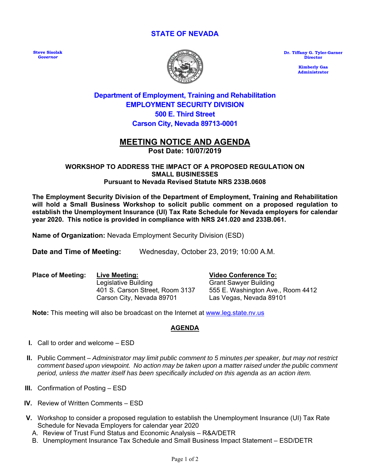## **STATE OF NEVADA**

**Steve Sisolak**  *Governor*



**Dr. Tiffany G. Tyler-Garner Director** 

> **Kimberly Gaa Administrator**

## **Department of Employment, Training and Rehabilitation EMPLOYMENT SECURITY DIVISION 500 E. Third Street Carson City, Nevada 89713-0001**

## **MEETING NOTICE AND AGENDA Post Date: 10/07/2019**

#### **WORKSHOP TO ADDRESS THE IMPACT OF A PROPOSED REGULATION ON SMALL BUSINESSES Pursuant to Nevada Revised Statute NRS 233B.0608**

**The Employment Security Division of the Department of Employment, Training and Rehabilitation will hold a Small Business Workshop to solicit public comment on a proposed regulation to establish the Unemployment Insurance (UI) Tax Rate Schedule for Nevada employers for calendar year 2020. This notice is provided in compliance with NRS 241.020 and 233B.061.** 

**Name of Organization:** Nevada Employment Security Division (ESD)

**Date and Time of Meeting:** Wednesday, October 23, 2019; 10:00 A.M.

**Place of Meeting: Live Meeting:** Legislative Building 401 S. Carson Street, Room 3137 Carson City, Nevada 89701

**Video Conference To:**

Grant Sawyer Building 555 E. Washington Ave., Room 4412 Las Vegas, Nevada 89101

**Note:** This meeting will also be broadcast on the Internet at www.leg.state.nv.us

## **AGENDA**

- **I.** Call to order and welcome ESD
- **II.** Public Comment *Administrator may limit public comment to 5 minutes per speaker, but may not restrict comment based upon viewpoint. No action may be taken upon a matter raised under the public comment period, unless the matter itself has been specifically included on this agenda as an action item.*
- **III.** Confirmation of Posting ESD
- **IV.** Review of Written Comments ESD
- **V.** Workshop to consider a proposed regulation to establish the Unemployment Insurance (UI) Tax Rate Schedule for Nevada Employers for calendar year 2020
	- A. Review of Trust Fund Status and Economic Analysis R&A/DETR
	- B. Unemployment Insurance Tax Schedule and Small Business Impact Statement ESD/DETR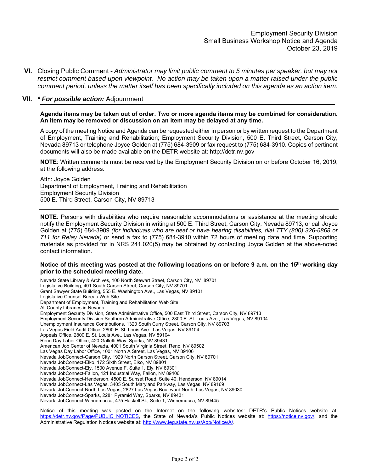**VI.** Closing Public Comment - *Administrator may limit public comment to 5 minutes per speaker, but may not restrict comment based upon viewpoint. No action may be taken upon a matter raised under the public comment period, unless the matter itself has been specifically included on this agenda as an action item.*

#### **VII.** *\* For possible action:* Adjournment

ֺ֝֡

**Agenda items may be taken out of order. Two or more agenda items may be combined for consideration. An item may be removed or discussion on an item may be delayed at any time.** 

A copy of the meeting Notice and Agenda can be requested either in person or by written request to the Department of Employment, Training and Rehabilitation; Employment Security Division, 500 E. Third Street, Carson City, Nevada 89713 or telephone Joyce Golden at (775) 684-3909 or fax request to (775) 684-3910. Copies of pertinent documents will also be made available on the DETR website at: http://detr.nv.gov

**NOTE**: Written comments must be received by the Employment Security Division on or before October 16, 2019, at the following address:

Attn: Joyce Golden Department of Employment, Training and Rehabilitation Employment Security Division 500 E. Third Street, Carson City, NV 89713

**NOTE**: Persons with disabilities who require reasonable accommodations or assistance at the meeting should notify the Employment Security Division in writing at 500 E. Third Street, Carson City, Nevada 89713, or call Joyce Golden at (775) 684-3909 *(for individuals who are deaf or have hearing disabilities, dial TTY (800) 326-6868 or 711 for Relay Nevada)* or send a fax to (775) 684-3910 within 72 hours of meeting date and time. Supporting materials as provided for in NRS 241.020(5) may be obtained by contacting Joyce Golden at the above-noted contact information.

#### **Notice of this meeting was posted at the following locations on or before 9 a.m. on the 15th working day prior to the scheduled meeting date.**

Nevada State Library & Archives, 100 North Stewart Street, Carson City, NV 89701 Legislative Building, 401 South Carson Street, Carson City, NV 89701 Grant Sawyer State Building, 555 E. Washington Ave., Las Vegas, NV 89101 Legislative Counsel Bureau Web Site Department of Employment, Training and Rehabilitation Web Site All County Libraries in Nevada Employment Security Division, State Administrative Office, 500 East Third Street, Carson City, NV 89713 Employment Security Division Southern Administrative Office, 2800 E. St. Louis Ave., Las Vegas, NV 89104 Unemployment Insurance Contributions, 1320 South Curry Street, Carson City, NV 89703 Las Vegas Field Audit Office, 2800 E. St. Louis Ave., Las Vegas, NV 89104 Appeals Office, 2800 E. St. Louis Ave., Las Vegas, NV 89104 Reno Day Labor Office, 420 Galletti Way, Sparks, NV 89431 American Job Center of Nevada, 4001 South Virginia Street, Reno, NV 89502 Las Vegas Day Labor Office, 1001 North A Street, Las Vegas, NV 89106 Nevada JobConnect-Carson City, 1929 North Carson Street, Carson City, NV 89701 Nevada JobConnect-Elko, 172 Sixth Street, Elko, NV 89801 Nevada JobConnect-Ely, 1500 Avenue F, Suite 1, Ely, NV 89301 Nevada JobConnect-Fallon, 121 Industrial Way, Fallon, NV 89406 Nevada JobConnect-Henderson, 4500 E. Sunset Road, Suite 40, Henderson, NV 89014 Nevada JobConnect-Las Vegas, 3405 South Maryland Parkway, Las Vegas, NV 89169 Nevada JobConnect-North Las Vegas, 2827 Las Vegas Boulevard North, Las Vegas, NV 89030 Nevada JobConnect-Sparks, 2281 Pyramid Way, Sparks, NV 89431 Nevada JobConnect-Winnemucca, 475 Haskell St., Suite 1, Winnemucca, NV 89445

Notice of this meeting was posted on the Internet on the following websites: DETR's Public Notices website at: https://detr.nv.gov/Page/PUBLIC\_NOTICES, the State of Nevada's Public Notices website at: https://notice.nv.gov/, and the Administrative Regulation Notices website at: http://www.leg.state.nv.us/App/Notice/A/.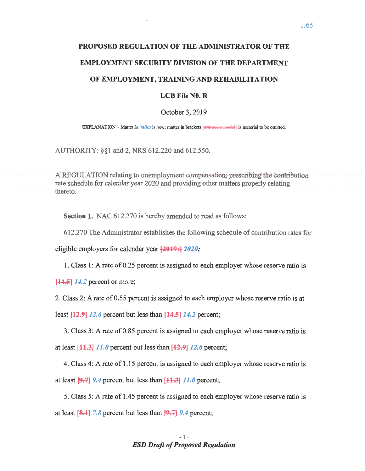# PROPOSED REGULATION OF THE ADMINISTRATOR OF THE **EMPLOYMENT SECURITY DIVISION OF THE DEPARTMENT** OF EMPLOYMENT, TRAINING AND REHABILITATION

#### $LCB$  File N $0. R$

#### October 3, 2019

EXPLANATION - Matter in *italics* is new; matter in brackets [omitted material] is material to be omitted.

AUTHORITY: §§1 and 2, NRS 612.220 and 612.550.

A REGULATION relating to unemployment compensation; prescribing the contribution rate schedule for calendar year 2020 and providing other matters properly relating thereto.

Section 1. NAC 612.270 is hereby amended to read as follows:

612.270 The Administrator establishes the following schedule of contribution rates for

eligible employers for calendar year  $\left[2019:12020: \right]$ 

1. Class 1: A rate of 0.25 percent is assigned to each employer whose reserve ratio is

 $[44.5]$  14.2 percent or more;

2. Class 2: A rate of 0.55 percent is assigned to each employer whose reserve ratio is at

least  $[12.9]$  12.6 percent but less than  $[14.5]$  14.2 percent;

3. Class 3: A rate of 0.85 percent is assigned to each employer whose reserve ratio is at least  $[44.3]$  11.0 percent but less than  $[42.9]$  12.6 percent;

4. Class 4: A rate of 1.15 percent is assigned to each employer whose reserve ratio is at least  $[9,7]$  9.4 percent but less than  $[11,3]$  11.0 percent;

5. Class 5: A rate of 1.45 percent is assigned to each employer whose reserve ratio is at least  $[8,1]$  7.8 percent but less than  $[9,7]$  9.4 percent;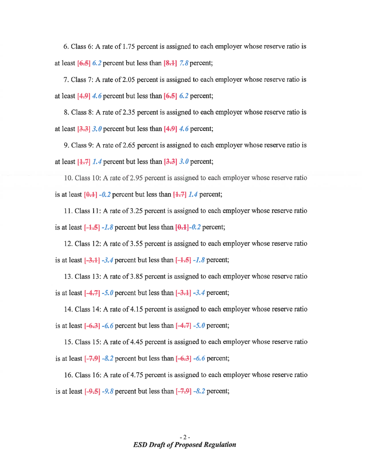6. Class 6: A rate of 1.75 percent is assigned to each employer whose reserve ratio is at least  $[6.5]$  6.2 percent but less than  $[8.1]$  7.8 percent;

7. Class 7: A rate of 2.05 percent is assigned to each employer whose reserve ratio is at least  $[4.9]$  4.6 percent but less than  $[6.5]$  6.2 percent;

8. Class 8: A rate of 2.35 percent is assigned to each employer whose reserve ratio is at least  $[3.3]$  3.0 percent but less than  $[4.9]$  4.6 percent;

9. Class 9: A rate of 2.65 percent is assigned to each employer whose reserve ratio is at least  $[4.7]$  1.4 percent but less than  $[3.3]$  3.0 percent;

10. Class 10: A rate of 2.95 percent is assigned to each employer whose reserve ratio is at least  $[0,1]$  -0.2 percent but less than  $[1,7]$  1.4 percent;

11. Class 11: A rate of 3.25 percent is assigned to each employer whose reserve ratio is at least  $\left[-1, 5\right]$  -1.8 percent but less than  $\left[0, 1\right]$ -0.2 percent;

12. Class 12: A rate of 3.55 percent is assigned to each employer whose reserve ratio is at least  $[-3,1]$  -3.4 percent but less than  $[-1,5]$  -1.8 percent;

13. Class 13: A rate of 3.85 percent is assigned to each employer whose reserve ratio is at least  $[-4.7]$  -5.0 percent but less than  $[-3.1]$  -3.4 percent;

14. Class 14: A rate of 4.15 percent is assigned to each employer whose reserve ratio is at least  $[-6.3]$  -6.6 percent but less than  $[-4.7]$  -5.0 percent;

15. Class 15: A rate of 4.45 percent is assigned to each employer whose reserve ratio is at least  $[-7.9]$  -8.2 percent but less than  $[-6.3]$  -6.6 percent;

16. Class 16: A rate of 4.75 percent is assigned to each employer whose reserve ratio is at least  $[-9.5]$  -9.8 percent but less than  $[-7.9]$  -8.2 percent;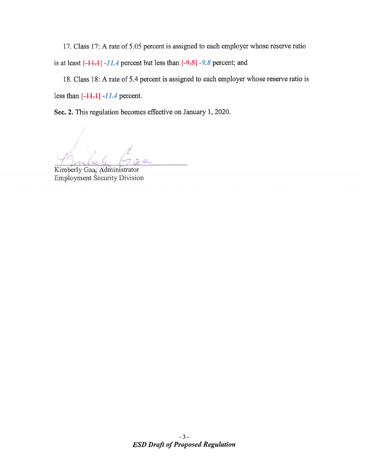17. Class 17: A rate of 5.05 percent is assigned to each employer whose reserve ratio is at least  $[-11.1]$  -11.4 percent but less than  $[-9.5]$  -9.8 percent; and

18. Class 18: A rate of 5.4 percent is assigned to each employer whose reserve ratio is less than  $[-11.1]$   $-11.4$  percent.

Sec. 2. This regulation becomes effective on January 1, 2020.

Kimberly Gaa, Administrator **Employment Security Division**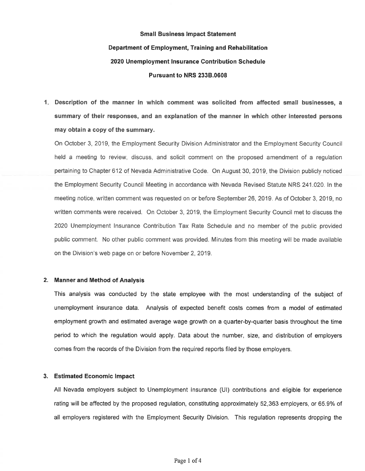# **Small Business Impact Statement** Department of Employment, Training and Rehabilitation 2020 Unemployment Insurance Contribution Schedule Pursuant to NRS 233B.0608

1. Description of the manner in which comment was solicited from affected small businesses, a summary of their responses, and an explanation of the manner in which other interested persons may obtain a copy of the summary.

On October 3, 2019, the Employment Security Division Administrator and the Employment Security Council held a meeting to review, discuss, and solicit comment on the proposed amendment of a regulation pertaining to Chapter 612 of Nevada Administrative Code. On August 30, 2019, the Division publicly noticed the Employment Security Council Meeting in accordance with Nevada Revised Statute NRS 241.020. In the meeting notice, written comment was requested on or before September 26, 2019. As of October 3, 2019, no written comments were received. On October 3, 2019, the Employment Security Council met to discuss the 2020 Unemployment Insurance Contribution Tax Rate Schedule and no member of the public provided public comment. No other public comment was provided. Minutes from this meeting will be made available on the Division's web page on or before November 2, 2019.

#### 2. Manner and Method of Analysis

This analysis was conducted by the state employee with the most understanding of the subject of unemployment insurance data. Analysis of expected benefit costs comes from a model of estimated employment growth and estimated average wage growth on a quarter-by-quarter basis throughout the time period to which the regulation would apply. Data about the number, size, and distribution of employers comes from the records of the Division from the required reports filed by those employers.

#### 3. Estimated Economic Impact

All Nevada employers subject to Unemployment Insurance (UI) contributions and eligible for experience rating will be affected by the proposed regulation, constituting approximately 52,363 employers, or 65,9% of all employers registered with the Employment Security Division. This regulation represents dropping the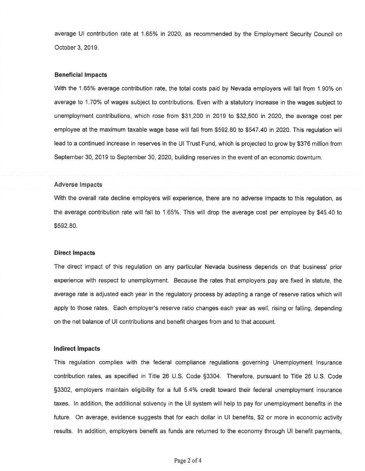average UI contribution rate at 1.65% in 2020, as recommended by the Employment Security Council on October 3, 2019.

#### **Beneficial Impacts**

With the 1.65% average contribution rate, the total costs paid by Nevada employers will fall from 1.90% on average to 1.70% of wages subject to contributions. Even with a statutory increase in the wages subject to unemployment contributions, which rose from \$31,200 in 2019 to \$32,500 in 2020, the average cost per employee at the maximum taxable wage base will fall from \$592.80 to \$547.40 in 2020. This regulation will lead to a continued increase in reserves in the UI Trust Fund, which is projected to grow by \$376 million from September 30, 2019 to September 30, 2020, building reserves in the event of an economic downturn.

#### **Adverse Impacts**

With the overall rate decline employers will experience, there are no adverse impacts to this regulation, as the average contribution rate will fall to 1.65%. This will drop the average cost per employee by \$45.40 to \$592.80.

#### **Direct Impacts**

The direct impact of this regulation on any particular Nevada business depends on that business' prior experience with respect to unemployment. Because the rates that employers pay are fixed in statute, the average rate is adjusted each year in the regulatory process by adapting a range of reserve ratios which will apply to those rates. Each employer's reserve ratio changes each year as well, rising or falling, depending on the net balance of UI contributions and benefit charges from and to that account.

#### **Indirect Impacts**

This regulation complies with the federal compliance regulations governing Unemployment Insurance contribution rates, as specified in Title 26 U.S. Code §3304. Therefore, pursuant to Title 26 U.S. Code §3302, employers maintain eligibility for a full 5.4% credit toward their federal unemployment insurance taxes. In addition, the additional solvency in the UI system will help to pay for unemployment benefits in the future. On average, evidence suggests that for each dollar in UI benefits, \$2 or more in economic activity results. In addition, employers benefit as funds are returned to the economy through UI benefit payments,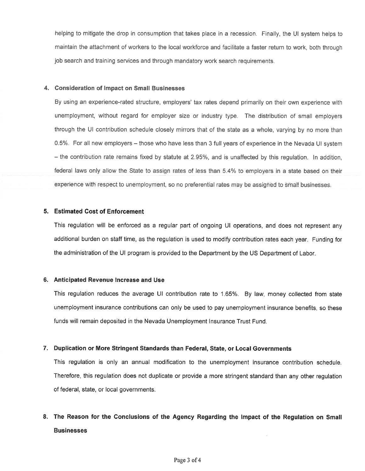helping to mitigate the drop in consumption that takes place in a recession. Finally, the UI system helps to maintain the attachment of workers to the local workforce and facilitate a faster return to work, both through job search and training services and through mandatory work search requirements.

#### 4. Consideration of Impact on Small Businesses

By using an experience-rated structure, employers' tax rates depend primarily on their own experience with unemployment, without regard for employer size or industry type. The distribution of small employers through the UI contribution schedule closely mirrors that of the state as a whole, varying by no more than 0.5%. For all new employers – those who have less than 3 full years of experience in the Nevada UI system - the contribution rate remains fixed by statute at 2.95%, and is unaffected by this regulation. In addition, federal laws only allow the State to assign rates of less than 5.4% to employers in a state based on their experience with respect to unemployment, so no preferential rates may be assigned to small businesses.

#### 5. Estimated Cost of Enforcement

This regulation will be enforced as a regular part of ongoing UI operations, and does not represent any additional burden on staff time, as the regulation is used to modify contribution rates each year. Funding for the administration of the UI program is provided to the Department by the US Department of Labor.

#### 6. Anticipated Revenue Increase and Use

This regulation reduces the average UI contribution rate to 1.65%. By law, money collected from state unemployment insurance contributions can only be used to pay unemployment insurance benefits, so these funds will remain deposited in the Nevada Unemployment Insurance Trust Fund.

#### 7. Duplication or More Stringent Standards than Federal, State, or Local Governments

This regulation is only an annual modification to the unemployment insurance contribution schedule. Therefore, this regulation does not duplicate or provide a more stringent standard than any other regulation of federal, state, or local governments.

## 8. The Reason for the Conclusions of the Agency Regarding the Impact of the Regulation on Small **Businesses**